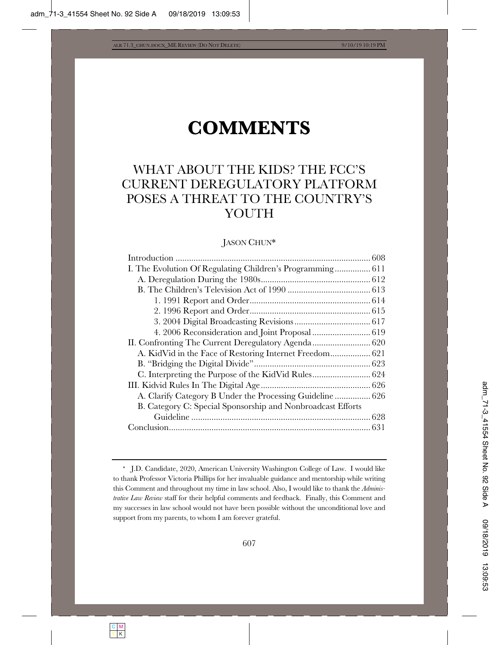# **COMMENTS**

# WHAT ABOUT THE KIDS? THE FCC'S CURRENT DEREGULATORY PLATFORM POSES A THREAT TO THE COUNTRY'S YOUTH

### JASON CHUN\*

| II. Confronting The Current Deregulatory Agenda 620         |  |
|-------------------------------------------------------------|--|
|                                                             |  |
|                                                             |  |
|                                                             |  |
|                                                             |  |
| A. Clarify Category B Under the Processing Guideline  626   |  |
| B. Category C: Special Sponsorship and Nonbroadcast Efforts |  |
|                                                             |  |
|                                                             |  |
|                                                             |  |

<sup>\*</sup> J.D. Candidate, 2020, American University Washington College of Law. I would like to thank Professor Victoria Phillips for her invaluable guidance and mentorship while writing this Comment and throughout my time in law school. Also, I would like to thank the *Administrative Law Review* staff for their helpful comments and feedback. Finally, this Comment and my successes in law school would not have been possible without the unconditional love and support from my parents, to whom I am forever grateful.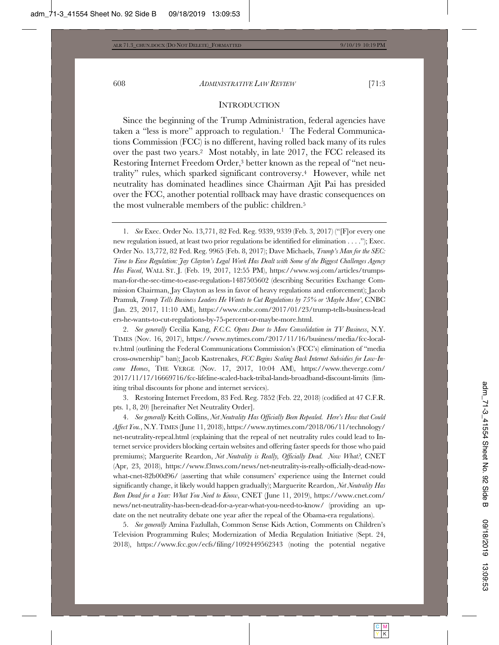#### **INTRODUCTION**

Since the beginning of the Trump Administration, federal agencies have taken a "less is more" approach to regulation.1 The Federal Communications Commission (FCC) is no different, having rolled back many of its rules over the past two years.2 Most notably, in late 2017, the FCC released its Restoring Internet Freedom Order,3 better known as the repeal of "net neutrality" rules, which sparked significant controversy.4 However, while net neutrality has dominated headlines since Chairman Ajit Pai has presided over the FCC, another potential rollback may have drastic consequences on the most vulnerable members of the public: children.5

1. *See* Exec. Order No. 13,771, 82 Fed. Reg. 9339, 9339 (Feb. 3, 2017) ("[F]or every one new regulation issued, at least two prior regulations be identified for elimination . . . ."); Exec. Order No. 13,772, 82 Fed. Reg. 9965 (Feb. 8, 2017); Dave Michaels, *Trump's Man for the SEC: Time to Ease Regulation: Jay Clayton's Legal Work Has Dealt with Some of the Biggest Challenges Agency Has Faced*, WALL ST. J. (Feb. 19, 2017, 12:55 PM), https://www.wsj.com/articles/trumpsman-for-the-sec-time-to-ease-regulation-1487505602 (describing Securities Exchange Commission Chairman, Jay Clayton as less in favor of heavy regulations and enforcement); Jacob Pramuk, *Trump Tells Business Leaders He Wants to Cut Regulations by 75% or 'Maybe More'*, CNBC (Jan. 23, 2017, 11:10 AM), https://www.cnbc.com/2017/01/23/trump-tells-business-lead ers-he-wants-to-cut-regulations-by-75-percent-or-maybe-more.html.

2. *See generally* Cecilia Kang, *F.C.C. Opens Door to More Consolidation in TV Business*, N.Y. TIMES (Nov. 16, 2017), https://www.nytimes.com/2017/11/16/business/media/fcc-localtv.html (outlining the Federal Communications Commission's (FCC's) elimination of "media cross-ownership" ban); Jacob Kastrenakes, *FCC Begins Scaling Back Internet Subsidies for Low-Income Homes*, THE VERGE (Nov. 17, 2017, 10:04 AM), https://www.theverge.com/ 2017/11/17/16669716/fcc-lifeline-scaled-back-tribal-lands-broadband-discount-limits (limiting tribal discounts for phone and internet services).

3. Restoring Internet Freedom, 83 Fed. Reg. 7852 (Feb. 22, 2018) (codified at 47 C.F.R. pts. 1, 8, 20) [hereinafter Net Neutrality Order].

4. *See generally* Keith Collins, *Net Neutrality Has Officially Been Repealed. Here's How that Could Affect You.*, N.Y.TIMES (June 11, 2018), https://www.nytimes.com/2018/06/11/technology/ net-neutrality-repeal.html (explaining that the repeal of net neutrality rules could lead to Internet service providers blocking certain websites and offering faster speeds for those who paid premiums); Marguerite Reardon, *Net Neutrality is Really, Officially Dead. Now What?*, CNET (Apr, 23, 2018), https://www.f3nws.com/news/net-neutrality-is-really-officially-dead-nowwhat-cnet-82b00d96/ (asserting that while consumers' experience using the Internet could significantly change, it likely would happen gradually); Marguerite Reardon, *Net Neutrality Has Been Dead for a Year: What You Need to Know*, CNET (June 11, 2019), https://www.cnet.com/ news/net-neutrality-has-been-dead-for-a-year-what-you-need-to-know/ (providing an update on the net neutrality debate one year after the repeal of the Obama-era regulations).

5. *See generally* Amina Fazlullah, Common Sense Kids Action, Comments on Children's Television Programming Rules; Modernization of Media Regulation Initiative (Sept. 24, 2018), https://www.fcc.gov/ecfs/filing/1092449562343 (noting the potential negative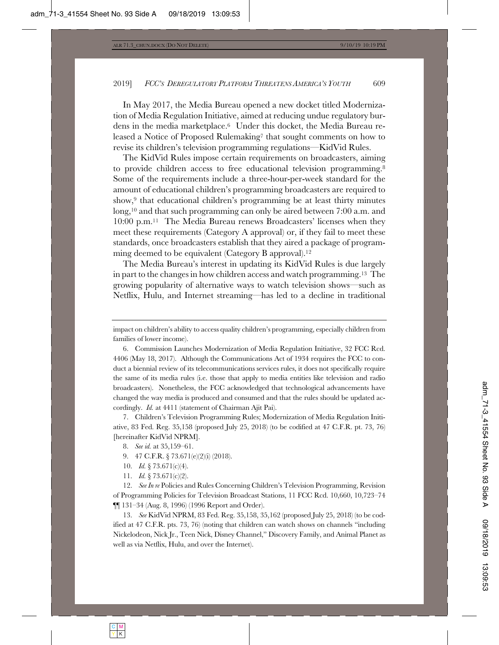In May 2017, the Media Bureau opened a new docket titled Modernization of Media Regulation Initiative, aimed at reducing undue regulatory burdens in the media marketplace.6 Under this docket, the Media Bureau released a Notice of Proposed Rulemaking<sup>7</sup> that sought comments on how to revise its children's television programming regulations—KidVid Rules.

The KidVid Rules impose certain requirements on broadcasters, aiming to provide children access to free educational television programming.8 Some of the requirements include a three-hour-per-week standard for the amount of educational children's programming broadcasters are required to show,9 that educational children's programming be at least thirty minutes long,10 and that such programming can only be aired between 7:00 a.m. and 10:00 p.m.11 The Media Bureau renews Broadcasters' licenses when they meet these requirements (Category A approval) or, if they fail to meet these standards, once broadcasters establish that they aired a package of programming deemed to be equivalent (Category B approval).<sup>12</sup>

The Media Bureau's interest in updating its KidVid Rules is due largely in part to the changes in how children access and watch programming.13 The growing popularity of alternative ways to watch television shows—such as Netflix, Hulu, and Internet streaming—has led to a decline in traditional

7. Children's Television Programming Rules; Modernization of Media Regulation Initiative, 83 Fed. Reg. 35,158 (proposed July 25, 2018) (to be codified at 47 C.F.R. pt. 73, 76) [hereinafter KidVid NPRM].

- 10. *Id.* § 73.671(c)(4).
- 11. *Id.* § 73.671(c)(2).

12. *See In re* Policies and Rules Concerning Children's Television Programming, Revision of Programming Policies for Television Broadcast Stations, 11 FCC Rcd. 10,660, 10,723–74 ¶¶ 131–34 (Aug. 8, 1996) (1996 Report and Order).

13. *See* KidVid NPRM, 83 Fed. Reg. 35,158, 35,162 (proposed July 25, 2018) (to be codified at 47 C.F.R. pts. 73, 76) (noting that children can watch shows on channels "including Nickelodeon, Nick Jr., Teen Nick, Disney Channel," Discovery Family, and Animal Planet as well as via Netflix, Hulu, and over the Internet).

impact on children's ability to access quality children's programming, especially children from families of lower income).

<sup>6.</sup> Commission Launches Modernization of Media Regulation Initiative, 32 FCC Rcd. 4406 (May 18, 2017). Although the Communications Act of 1934 requires the FCC to conduct a biennial review of its telecommunications services rules, it does not specifically require the same of its media rules (i.e. those that apply to media entities like television and radio broadcasters). Nonetheless, the FCC acknowledged that technological advancements have changed the way media is produced and consumed and that the rules should be updated accordingly. *Id.* at 4411 (statement of Chairman Ajit Pai).

<sup>8.</sup> *See id.* at 35,159–61.

<sup>9. 47</sup> C.F.R. § 73.671(e)(2)(i) (2018).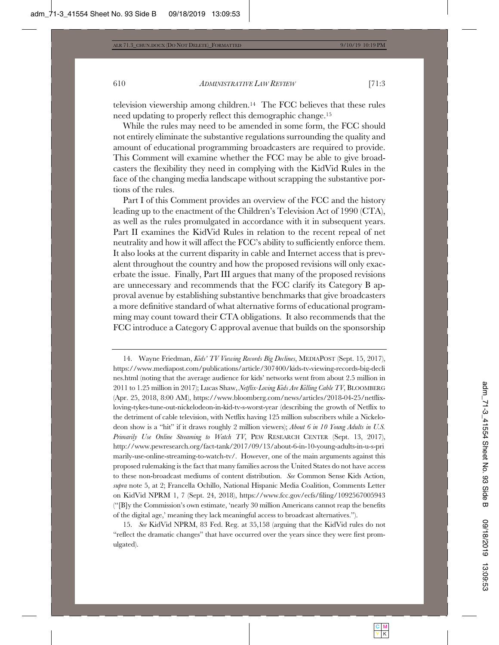television viewership among children.14 The FCC believes that these rules need updating to properly reflect this demographic change.15

While the rules may need to be amended in some form, the FCC should not entirely eliminate the substantive regulations surrounding the quality and amount of educational programming broadcasters are required to provide. This Comment will examine whether the FCC may be able to give broadcasters the flexibility they need in complying with the KidVid Rules in the face of the changing media landscape without scrapping the substantive portions of the rules.

Part I of this Comment provides an overview of the FCC and the history leading up to the enactment of the Children's Television Act of 1990 (CTA), as well as the rules promulgated in accordance with it in subsequent years. Part II examines the KidVid Rules in relation to the recent repeal of net neutrality and how it will affect the FCC's ability to sufficiently enforce them. It also looks at the current disparity in cable and Internet access that is prevalent throughout the country and how the proposed revisions will only exacerbate the issue. Finally, Part III argues that many of the proposed revisions are unnecessary and recommends that the FCC clarify its Category B approval avenue by establishing substantive benchmarks that give broadcasters a more definitive standard of what alternative forms of educational programming may count toward their CTA obligations. It also recommends that the FCC introduce a Category C approval avenue that builds on the sponsorship

<sup>14.</sup> Wayne Friedman, *Kids' TV Viewing Records Big Declines*, MEDIAPOST (Sept. 15, 2017), https://www.mediapost.com/publications/article/307400/kids-tv-viewing-records-big-decli nes.html (noting that the average audience for kids' networks went from about 2.5 million in 2011 to 1.25 million in 2017); Lucas Shaw, *Netflix-Loving Kids Are Killing Cable TV*, BLOOMBERG (Apr. 25, 2018, 8:00 AM), https://www.bloomberg.com/news/articles/2018-04-25/netflixloving-tykes-tune-out-nickelodeon-in-kid-tv-s-worst-year (describing the growth of Netflix to the detriment of cable television, with Netflix having 125 million subscribers while a Nickelodeon show is a "hit" if it draws roughly 2 million viewers); *About 6 in 10 Young Adults in U.S. Primarily Use Online Streaming to Watch TV*, PEW RESEARCH CENTER (Sept. 13, 2017), http://www.pewresearch.org/fact-tank/2017/09/13/about-6-in-10-young-adults-in-u-s-pri marily-use-online-streaming-to-watch-tv/. However, one of the main arguments against this proposed rulemaking is the fact that many families across the United States do not have access to these non-broadcast mediums of content distribution. *See* Common Sense Kids Action, *supra* note 5, at 2; Francella Ochillo, National Hispanic Media Coalition, Comments Letter on KidVid NPRM 1, 7 (Sept. 24, 2018), https://www.fcc.gov/ecfs/filing/1092567005943 ("[B]y the Commission's own estimate, 'nearly 30 million Americans cannot reap the benefits of the digital age,' meaning they lack meaningful access to broadcast alternatives.").

<sup>15.</sup> *See* KidVid NPRM, 83 Fed. Reg. at 35,158 (arguing that the KidVid rules do not "reflect the dramatic changes" that have occurred over the years since they were first promulgated).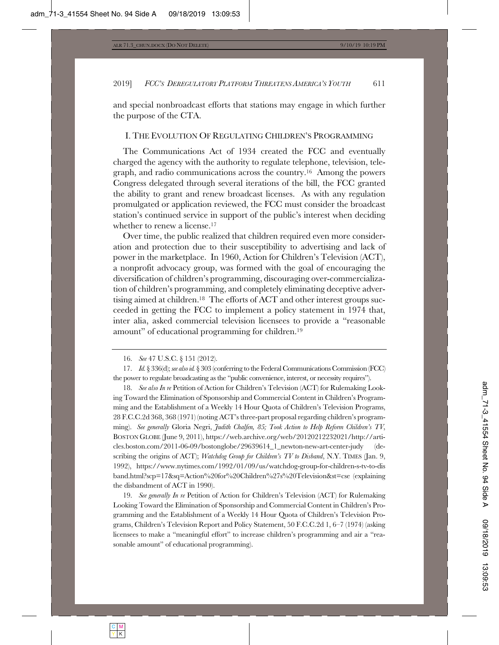and special nonbroadcast efforts that stations may engage in which further the purpose of the CTA.

#### I. THE EVOLUTION OF REGULATING CHILDREN'S PROGRAMMING

The Communications Act of 1934 created the FCC and eventually charged the agency with the authority to regulate telephone, television, telegraph, and radio communications across the country.16 Among the powers Congress delegated through several iterations of the bill, the FCC granted the ability to grant and renew broadcast licenses. As with any regulation promulgated or application reviewed, the FCC must consider the broadcast station's continued service in support of the public's interest when deciding whether to renew a license.<sup>17</sup>

Over time, the public realized that children required even more consideration and protection due to their susceptibility to advertising and lack of power in the marketplace. In 1960, Action for Children's Television (ACT), a nonprofit advocacy group, was formed with the goal of encouraging the diversification of children's programming, discouraging over-commercialization of children's programming, and completely eliminating deceptive advertising aimed at children.18 The efforts of ACT and other interest groups succeeded in getting the FCC to implement a policy statement in 1974 that, inter alia, asked commercial television licensees to provide a "reasonable amount" of educational programming for children.19

18. *See also In re* Petition of Action for Children's Television (ACT) for Rulemaking Looking Toward the Elimination of Sponsorship and Commercial Content in Children's Programming and the Establishment of a Weekly 14 Hour Quota of Children's Television Programs, 28 F.C.C.2d 368, 368 (1971) (noting ACT's three-part proposal regarding children's programming). *See generally* Gloria Negri, *Judith Chalfen, 85; Took Action to Help Reform Children's TV*, BOSTON GLOBE (June 9, 2011), https://web.archive.org/web/20120212232021/http://articles.boston.com/2011-06-09/bostonglobe/29639614\_1\_newton-new-art-center-judy (describing the origins of ACT); *Watchdog Group for Children's TV to Disband*, N.Y. TIMES (Jan. 9, 1992), https://www.nytimes.com/1992/01/09/us/watchdog-group-for-children-s-tv-to-dis band.html?scp=17&sq=Action%20for%20Children%27s%20Television&st=cse (explaining the disbandment of ACT in 1990).

19. *See generally In re* Petition of Action for Children's Television (ACT) for Rulemaking Looking Toward the Elimination of Sponsorship and Commercial Content in Children's Programming and the Establishment of a Weekly 14 Hour Quota of Children's Television Programs, Children's Television Report and Policy Statement, 50 F.C.C.2d 1, 6–7 (1974) (asking licensees to make a "meaningful effort" to increase children's programming and air a "reasonable amount" of educational programming).

<sup>16.</sup> *See* 47 U.S.C. § 151 (2012).

<sup>17.</sup> *Id.* § 336(d); *see also id.*§ 303 (conferring to the Federal Communications Commission (FCC) the power to regulate broadcasting as the "public convenience, interest, or necessity requires").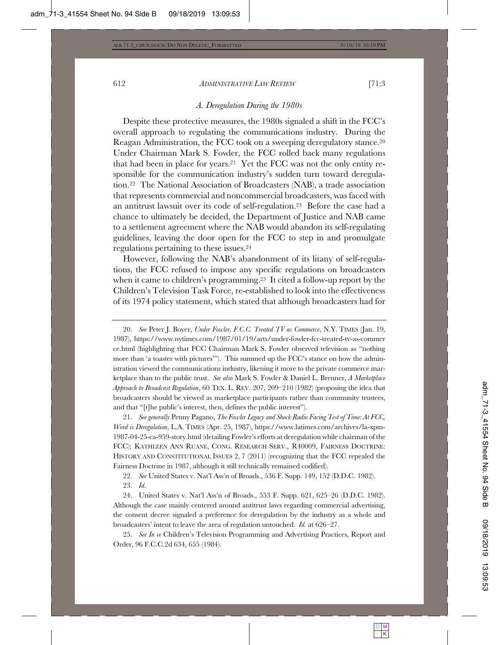#### *A. Deregulation During the 1980s*

Despite these protective measures, the 1980s signaled a shift in the FCC's overall approach to regulating the communications industry. During the Reagan Administration, the FCC took on a sweeping deregulatory stance.20 Under Chairman Mark S. Fowler, the FCC rolled back many regulations that had been in place for years.21 Yet the FCC was not the only entity responsible for the communication industry's sudden turn toward deregulation.22 The National Association of Broadcasters (NAB), a trade association that represents commercial and noncommercial broadcasters, was faced with an antitrust lawsuit over its code of self-regulation.23 Before the case had a chance to ultimately be decided, the Department of Justice and NAB came to a settlement agreement where the NAB would abandon its self-regulating guidelines, leaving the door open for the FCC to step in and promulgate regulations pertaining to these issues.24

However, following the NAB's abandonment of its litany of self-regulations, the FCC refused to impose any specific regulations on broadcasters when it came to children's programming.25 It cited a follow-up report by the Children's Television Task Force, re-established to look into the effectiveness of its 1974 policy statement, which stated that although broadcasters had for

21. *See generally* Penny Pagano, *The Fowler Legacy and Shock Radio Facing Test of Time: At FCC, Word is Deregulation*, L.A. TIMES (Apr. 25, 1987), https://www.latimes.com/archives/la-xpm-1987-04-25-ca-959-story.html (detailing Fowler's efforts at deregulation while chairman of the FCC); KATHLEEN ANN RUANE, CONG. RESEARCH SERV., R40009, FAIRNESS DOCTRINE: HISTORY AND CONSTITUTIONAL ISSUES 2, 7 (2011) (recognizing that the FCC repealed the Fairness Doctrine in 1987, although it still technically remained codified).

22. *See* United States v. Nat'l Ass'n of Broads., 536 F. Supp. 149, 152 (D.D.C. 1982). 23. *Id.*

24. United States v. Nat'l Ass'n of Broads., 553 F. Supp. 621, 625–26 (D.D.C. 1982). Although the case mainly centered around antitrust laws regarding commercial advertising, the consent decree signaled a preference for deregulation by the industry as a whole and broadcasters' intent to leave the area of regulation untouched. *Id.* at 626–27.

25. *See In re* Children's Television Programming and Advertising Practices, Report and Order, 96 F.C.C.2d 634, 655 (1984).

<sup>20.</sup> *See* Peter J. Boyer, *Under Fowler, F.C.C. Treated TV as Commerce*, N.Y. TIMES (Jan. 19, 1987), https://www.nytimes.com/1987/01/19/arts/under-fowler-fcc-treated-tv-as-commer ce.html (highlighting that FCC Chairman Mark S. Fowler observed television as "nothing more than 'a toaster with pictures'"). This summed up the FCC's stance on how the administration viewed the communications industry, likening it more to the private commerce marketplace than to the public trust. *See also* Mark S. Fowler & Daniel L. Brenner, *A Marketplace Approach to Broadcast Regulation*, 60 TEX. L. REV. 207, 209–210 (1982) (proposing the idea that broadcasters should be viewed as marketplace participants rather than community trustees, and that "[t]he public's interest, then, defines the public interest").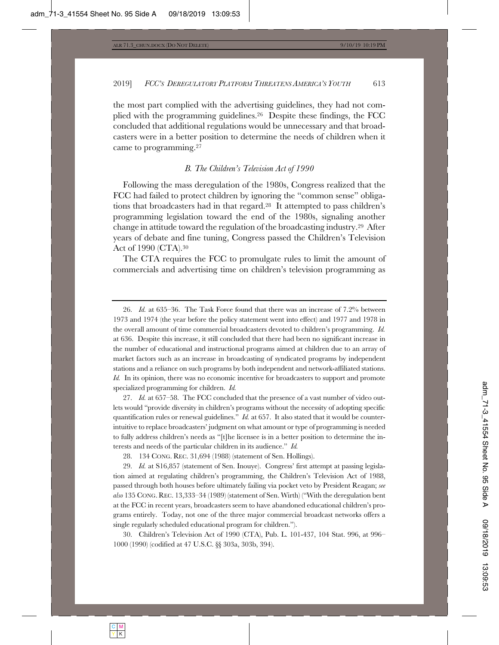the most part complied with the advertising guidelines, they had not complied with the programming guidelines.26 Despite these findings, the FCC concluded that additional regulations would be unnecessary and that broadcasters were in a better position to determine the needs of children when it came to programming.27

#### *B. The Children's Television Act of 1990*

Following the mass deregulation of the 1980s, Congress realized that the FCC had failed to protect children by ignoring the "common sense" obligations that broadcasters had in that regard.28 It attempted to pass children's programming legislation toward the end of the 1980s, signaling another change in attitude toward the regulation of the broadcasting industry.29 After years of debate and fine tuning, Congress passed the Children's Television Act of 1990 (CTA).30

The CTA requires the FCC to promulgate rules to limit the amount of commercials and advertising time on children's television programming as

27. *Id.* at 657–58. The FCC concluded that the presence of a vast number of video outlets would "provide diversity in children's programs without the necessity of adopting specific quantification rules or renewal guidelines." *Id.* at 657. It also stated that it would be counterintuitive to replace broadcasters' judgment on what amount or type of programming is needed to fully address children's needs as "[t]he licensee is in a better position to determine the interests and needs of the particular children in its audience." *Id.*

28. 134 CONG. REC. 31,694 (1988) (statement of Sen. Hollings).

29. *Id.* at S16,857 (statement of Sen. Inouye). Congress' first attempt at passing legislation aimed at regulating children's programming, the Children's Television Act of 1988, passed through both houses before ultimately failing via pocket veto by President Reagan; *see also* 135 CONG. REC. 13,333–34 (1989) (statement of Sen. Wirth) ("With the deregulation bent at the FCC in recent years, broadcasters seem to have abandoned educational children's programs entirely. Today, not one of the three major commercial broadcast networks offers a single regularly scheduled educational program for children.").

30. Children's Television Act of 1990 (CTA), Pub. L. 101-437, 104 Stat. 996, at 996– 1000 (1990) (codified at 47 U.S.C. §§ 303a, 303b, 394).

<sup>26.</sup> *Id.* at 635–36. The Task Force found that there was an increase of 7.2% between 1973 and 1974 (the year before the policy statement went into effect) and 1977 and 1978 in the overall amount of time commercial broadcasters devoted to children's programming. *Id.* at 636. Despite this increase, it still concluded that there had been no significant increase in the number of educational and instructional programs aimed at children due to an array of market factors such as an increase in broadcasting of syndicated programs by independent stations and a reliance on such programs by both independent and network-affiliated stations. *Id.* In its opinion, there was no economic incentive for broadcasters to support and promote specialized programming for children. *Id.*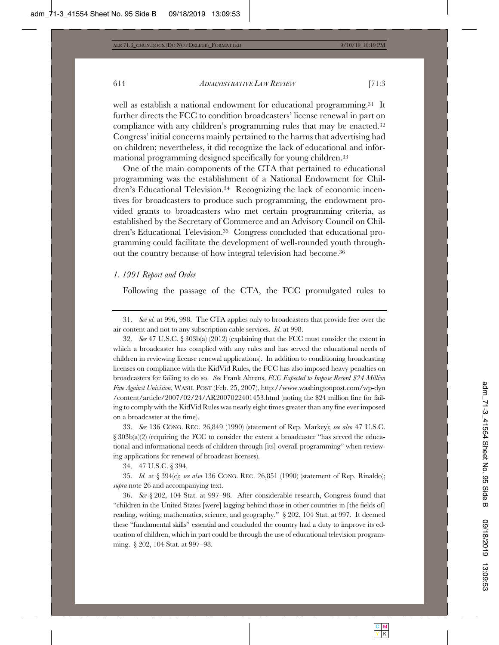well as establish a national endowment for educational programming.31 It further directs the FCC to condition broadcasters' license renewal in part on compliance with any children's programming rules that may be enacted.<sup>32</sup> Congress' initial concerns mainly pertained to the harms that advertising had on children; nevertheless, it did recognize the lack of educational and informational programming designed specifically for young children.33

One of the main components of the CTA that pertained to educational programming was the establishment of a National Endowment for Children's Educational Television.34 Recognizing the lack of economic incentives for broadcasters to produce such programming, the endowment provided grants to broadcasters who met certain programming criteria, as established by the Secretary of Commerce and an Advisory Council on Children's Educational Television.35 Congress concluded that educational programming could facilitate the development of well-rounded youth throughout the country because of how integral television had become.36

#### *1. 1991 Report and Order*

Following the passage of the CTA, the FCC promulgated rules to

31. *See id.* at 996, 998. The CTA applies only to broadcasters that provide free over the air content and not to any subscription cable services. *Id.* at 998.

32. *See* 47 U.S.C. § 303b(a) (2012) (explaining that the FCC must consider the extent in which a broadcaster has complied with any rules and has served the educational needs of children in reviewing license renewal applications). In addition to conditioning broadcasting licenses on compliance with the KidVid Rules, the FCC has also imposed heavy penalties on broadcasters for failing to do so. *See* Frank Ahrens, *FCC Expected to Impose Record \$24 Million Fine Against Univision*, WASH. POST (Feb. 25, 2007), http://www.washingtonpost.com/wp-dyn /content/article/2007/02/24/AR2007022401453.html (noting the \$24 million fine for failing to comply with the KidVid Rules was nearly eight times greater than any fine ever imposed on a broadcaster at the time).

33. *See* 136 CONG. REC. 26,849 (1990) (statement of Rep. Markey); *see also* 47 U.S.C.  $\S 303b(a)(2)$  (requiring the FCC to consider the extent a broadcaster "has served the educational and informational needs of children through [its] overall programming" when reviewing applications for renewal of broadcast licenses).

34. 47 U.S.C. § 394.

35. *Id.* at § 394(c); *see also* 136 CONG. REC. 26,851 (1990) (statement of Rep. Rinaldo); *supra* note 26 and accompanying text.

36. *See* § 202, 104 Stat. at 997–98. After considerable research, Congress found that "children in the United States [were] lagging behind those in other countries in [the fields of] reading, writing, mathematics, science, and geography." § 202, 104 Stat. at 997. It deemed these "fundamental skills" essential and concluded the country had a duty to improve its education of children, which in part could be through the use of educational television programming. § 202, 104 Stat. at 997–98.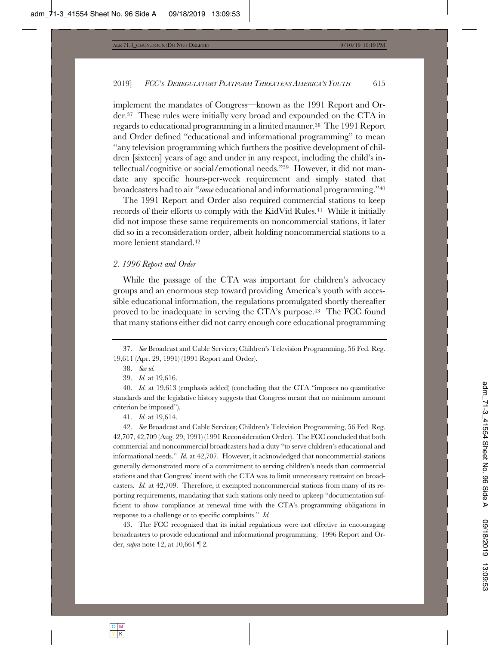implement the mandates of Congress—known as the 1991 Report and Order.37 These rules were initially very broad and expounded on the CTA in regards to educational programming in a limited manner.38 The 1991 Report and Order defined "educational and informational programming" to mean "any television programming which furthers the positive development of children [sixteen] years of age and under in any respect, including the child's intellectual/cognitive or social/emotional needs."39 However, it did not mandate any specific hours-per-week requirement and simply stated that broadcasters had to air "*some* educational and informational programming."40

The 1991 Report and Order also required commercial stations to keep records of their efforts to comply with the KidVid Rules.41 While it initially did not impose these same requirements on noncommercial stations, it later did so in a reconsideration order, albeit holding noncommercial stations to a more lenient standard.42

#### *2. 1996 Report and Order*

While the passage of the CTA was important for children's advocacy groups and an enormous step toward providing America's youth with accessible educational information, the regulations promulgated shortly thereafter proved to be inadequate in serving the CTA's purpose.43 The FCC found that many stations either did not carry enough core educational programming

39. *Id.* at 19,616.

40. *Id.* at 19,613 (emphasis added) (concluding that the CTA "imposes no quantitative standards and the legislative history suggests that Congress meant that no minimum amount criterion be imposed").

41. *Id.* at 19,614.

42. *See* Broadcast and Cable Services; Children's Television Programming, 56 Fed. Reg. 42,707, 42,709 (Aug. 29, 1991) (1991 Reconsideration Order). The FCC concluded that both commercial and noncommercial broadcasters had a duty "to serve children's educational and informational needs." *Id.* at 42,707. However, it acknowledged that noncommercial stations generally demonstrated more of a commitment to serving children's needs than commercial stations and that Congress' intent with the CTA was to limit unnecessary restraint on broadcasters. *Id.* at 42,709. Therefore, it exempted noncommercial stations from many of its reporting requirements, mandating that such stations only need to upkeep "documentation sufficient to show compliance at renewal time with the CTA's programming obligations in response to a challenge or to specific complaints." *Id.*

43. The FCC recognized that its initial regulations were not effective in encouraging broadcasters to provide educational and informational programming. 1996 Report and Order, *supra* note 12, at 10,661 ¶ 2.

<sup>37.</sup> *See* Broadcast and Cable Services; Children's Television Programming, 56 Fed. Reg. 19,611 (Apr. 29, 1991) (1991 Report and Order).

<sup>38.</sup> *See id.*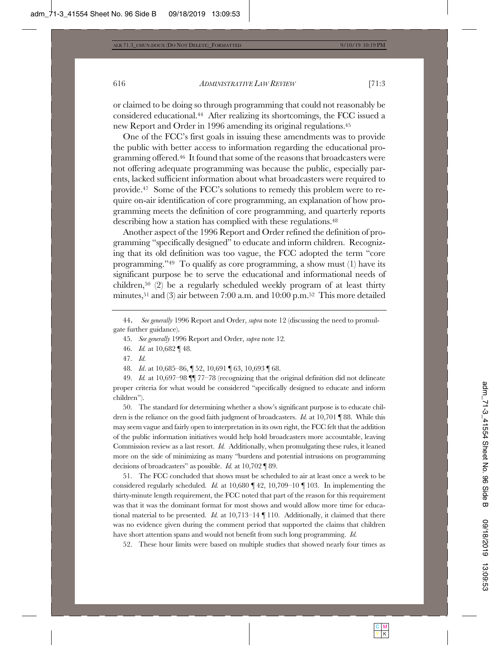or claimed to be doing so through programming that could not reasonably be considered educational.44 After realizing its shortcomings, the FCC issued a new Report and Order in 1996 amending its original regulations.45

One of the FCC's first goals in issuing these amendments was to provide the public with better access to information regarding the educational programming offered.46 It found that some of the reasons that broadcasters were not offering adequate programming was because the public, especially parents, lacked sufficient information about what broadcasters were required to provide.47 Some of the FCC's solutions to remedy this problem were to require on-air identification of core programming, an explanation of how programming meets the definition of core programming, and quarterly reports describing how a station has complied with these regulations.<sup>48</sup>

Another aspect of the 1996 Report and Order refined the definition of programming "specifically designed" to educate and inform children. Recognizing that its old definition was too vague, the FCC adopted the term "core programming."49 To qualify as core programming, a show must (1) have its significant purpose be to serve the educational and informational needs of children,50 (2) be a regularly scheduled weekly program of at least thirty minutes,51 and (3) air between 7:00 a.m. and 10:00 p.m.52 This more detailed

48. *Id*. at 10,685–86, ¶ 52, 10,691 ¶ 63, 10,693 ¶ 68.

49. *Id.* at 10,697–98 ¶¶ 77–78 (recognizing that the original definition did not delineate proper criteria for what would be considered "specifically designed to educate and inform children").

50. The standard for determining whether a show's significant purpose is to educate children is the reliance on the good faith judgment of broadcasters. *Id.* at 10,701 ¶ 88. While this may seem vague and fairly open to interpretation in its own right, the FCC felt that the addition of the public information initiatives would help hold broadcasters more accountable, leaving Commission review as a last resort. *Id.* Additionally, when promulgating these rules, it leaned more on the side of minimizing as many "burdens and potential intrusions on programming decisions of broadcasters" as possible. *Id.* at 10,702 ¶ 89.

51. The FCC concluded that shows must be scheduled to air at least once a week to be considered regularly scheduled. *Id.* at 10,680 ¶ 42, 10,709–10 ¶ 103. In implementing the thirty-minute length requirement, the FCC noted that part of the reason for this requirement was that it was the dominant format for most shows and would allow more time for educational material to be presented. *Id.* at 10,713–14 ¶ 110. Additionally, it claimed that there was no evidence given during the comment period that supported the claims that children have short attention spans and would not benefit from such long programming. *Id.*

52. These hour limits were based on multiple studies that showed nearly four times as

<sup>44.</sup> *See generally* 1996 Report and Order, *supra* note 12 (discussing the need to promulgate further guidance).

<sup>45.</sup> *See generally* 1996 Report and Order, *supra* note 12*.*

<sup>46.</sup> *Id.* at 10,682 ¶ 48.

<sup>47.</sup> *Id.*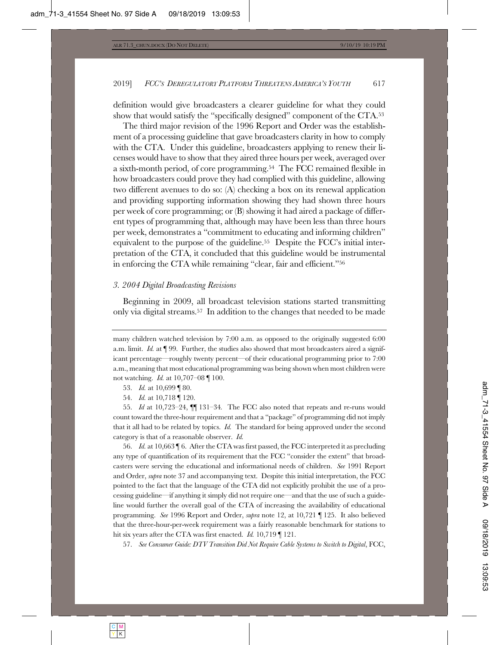definition would give broadcasters a clearer guideline for what they could show that would satisfy the "specifically designed" component of the CTA.53

The third major revision of the 1996 Report and Order was the establishment of a processing guideline that gave broadcasters clarity in how to comply with the CTA. Under this guideline, broadcasters applying to renew their licenses would have to show that they aired three hours per week, averaged over a sixth-month period, of core programming.54 The FCC remained flexible in how broadcasters could prove they had complied with this guideline, allowing two different avenues to do so: (A) checking a box on its renewal application and providing supporting information showing they had shown three hours per week of core programming; or (B) showing it had aired a package of different types of programming that, although may have been less than three hours per week, demonstrates a "commitment to educating and informing children" equivalent to the purpose of the guideline.55 Despite the FCC's initial interpretation of the CTA, it concluded that this guideline would be instrumental in enforcing the CTA while remaining "clear, fair and efficient."56

#### *3. 2004 Digital Broadcasting Revisions*

Beginning in 2009, all broadcast television stations started transmitting only via digital streams.57 In addition to the changes that needed to be made

55. *Id* at 10,723–24, ¶¶ 131–34*.* The FCC also noted that repeats and re-runs would count toward the three-hour requirement and that a "package" of programming did not imply that it all had to be related by topics. *Id.* The standard for being approved under the second category is that of a reasonable observer. *Id.*

56. *Id.* at 10,663 ¶ 6. After the CTA was first passed, the FCC interpreted it as precluding any type of quantification of its requirement that the FCC "consider the extent" that broadcasters were serving the educational and informational needs of children. *See* 1991 Report and Order, *supra* note 37 and accompanying text. Despite this initial interpretation, the FCC pointed to the fact that the language of the CTA did not explicitly prohibit the use of a processing guideline—if anything it simply did not require one—and that the use of such a guideline would further the overall goal of the CTA of increasing the availability of educational programming. *See* 1996 Report and Order, *supra* note 12, at 10,721 ¶ 125. It also believed that the three-hour-per-week requirement was a fairly reasonable benchmark for stations to hit six years after the CTA was first enacted. *Id.* 10,719 ¶ 121.

57. *See Consumer Guide: DTV Transition Did Not Require Cable Systems to Switch to Digital*, FCC,

many children watched television by 7:00 a.m. as opposed to the originally suggested 6:00 a.m. limit. *Id.* at ¶ 99. Further, the studies also showed that most broadcasters aired a significant percentage—roughly twenty percent—of their educational programming prior to 7:00 a.m., meaning that most educational programming was being shown when most children were not watching. *Id.* at 10,707–08 ¶ 100.

<sup>53.</sup> *Id.* at 10,699 ¶ 80.

<sup>54.</sup> *Id.* at 10,718 ¶ 120.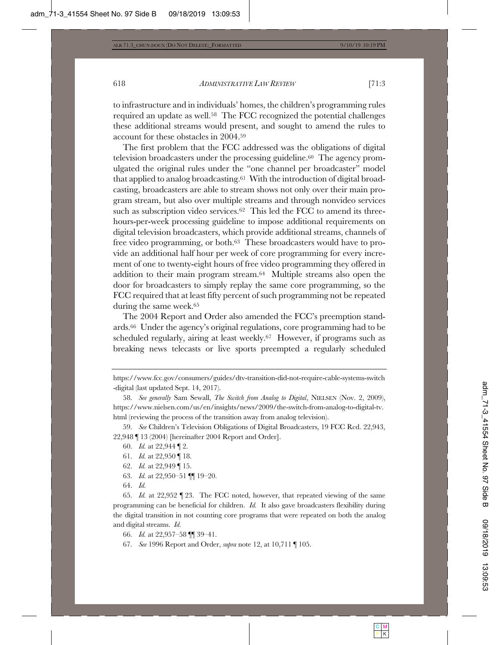to infrastructure and in individuals' homes, the children's programming rules required an update as well.58 The FCC recognized the potential challenges these additional streams would present, and sought to amend the rules to account for these obstacles in 2004.59

The first problem that the FCC addressed was the obligations of digital television broadcasters under the processing guideline.60 The agency promulgated the original rules under the "one channel per broadcaster" model that applied to analog broadcasting.61 With the introduction of digital broadcasting, broadcasters are able to stream shows not only over their main program stream, but also over multiple streams and through nonvideo services such as subscription video services.<sup>62</sup> This led the FCC to amend its threehours-per-week processing guideline to impose additional requirements on digital television broadcasters, which provide additional streams, channels of free video programming, or both.63 These broadcasters would have to provide an additional half hour per week of core programming for every increment of one to twenty-eight hours of free video programming they offered in addition to their main program stream.64 Multiple streams also open the door for broadcasters to simply replay the same core programming, so the FCC required that at least fifty percent of such programming not be repeated during the same week.65

The 2004 Report and Order also amended the FCC's preemption standards.66 Under the agency's original regulations, core programming had to be scheduled regularly, airing at least weekly.67 However, if programs such as breaking news telecasts or live sports preempted a regularly scheduled

58. *See generally* Sam Sewall, *The Switch from Analog to Digital*, NIELSEN (Nov. 2, 2009), https://www.nielsen.com/us/en/insights/news/2009/the-switch-from-analog-to-digital-tv. html (reviewing the process of the transition away from analog television).

59. *See* Children's Television Obligations of Digital Broadcasters, 19 FCC Rcd. 22,943, 22,948 ¶ 13 (2004) [hereinafter 2004 Report and Order].

- 60. *Id.* at 22,944 ¶ 2.
- 61. *Id.* at 22,950 ¶ 18.
- 62. *Id.* at 22,949 ¶ 15.
- 63. *Id.* at 22,950–51 ¶¶ 19–20.
- 64. *Id.*

65. *Id.* at 22,952 ¶ 23. The FCC noted, however, that repeated viewing of the same programming can be beneficial for children. *Id.* It also gave broadcasters flexibility during the digital transition in not counting core programs that were repeated on both the analog and digital streams. *Id.*

66. *Id.* at 22,957–58 ¶¶ 39–41.

67. *See* 1996 Report and Order, *supra* note 12, at 10,711 ¶ 105.

https://www.fcc.gov/consumers/guides/dtv-transition-did-not-require-cable-systems-switch -digital (last updated Sept. 14, 2017).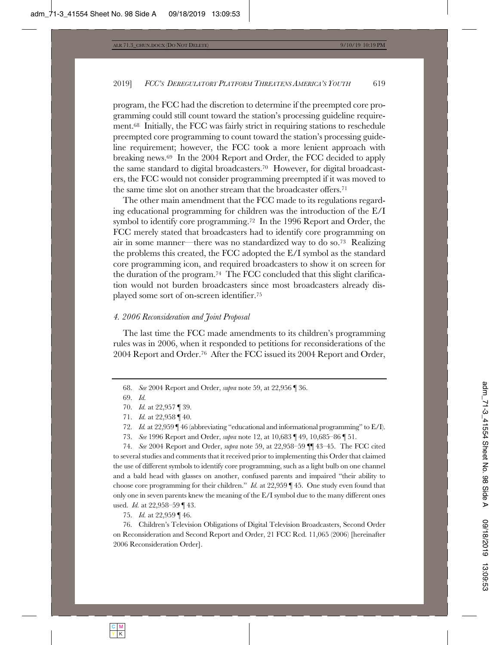program, the FCC had the discretion to determine if the preempted core programming could still count toward the station's processing guideline requirement.68 Initially, the FCC was fairly strict in requiring stations to reschedule preempted core programming to count toward the station's processing guideline requirement; however, the FCC took a more lenient approach with breaking news.69 In the 2004 Report and Order, the FCC decided to apply the same standard to digital broadcasters.70 However, for digital broadcasters, the FCC would not consider programming preempted if it was moved to the same time slot on another stream that the broadcaster offers.71

The other main amendment that the FCC made to its regulations regarding educational programming for children was the introduction of the E/I symbol to identify core programming.<sup>72</sup> In the 1996 Report and Order, the FCC merely stated that broadcasters had to identify core programming on air in some manner—there was no standardized way to do so.73 Realizing the problems this created, the FCC adopted the E/I symbol as the standard core programming icon, and required broadcasters to show it on screen for the duration of the program.74 The FCC concluded that this slight clarification would not burden broadcasters since most broadcasters already displayed some sort of on-screen identifier.75

#### *4. 2006 Reconsideration and Joint Proposal*

The last time the FCC made amendments to its children's programming rules was in 2006, when it responded to petitions for reconsiderations of the 2004 Report and Order.76 After the FCC issued its 2004 Report and Order,

- 71. *Id.* at 22,958 ¶ 40.
- 72. *Id.* at 22,959 ¶ 46 (abbreviating "educational and informational programming" to E/I).
- 73. *See* 1996 Report and Order, *supra* note 12, at 10,683 ¶ 49, 10,685–86 ¶ 51.

74. *See* 2004 Report and Order, *supra* note 59, at 22,958–59 ¶¶ 43–45. The FCC cited to several studies and comments that it received prior to implementing this Order that claimed the use of different symbols to identify core programming, such as a light bulb on one channel and a bald head with glasses on another, confused parents and impaired "their ability to choose core programming for their children." *Id.* at 22,959 ¶ 45. One study even found that only one in seven parents knew the meaning of the E/I symbol due to the many different ones used. *Id.* at 22,958–59 ¶ 43.

75. *Id.* at 22,959 ¶ 46.

76. Children's Television Obligations of Digital Television Broadcasters, Second Order on Reconsideration and Second Report and Order, 21 FCC Rcd. 11,065 (2006) [hereinafter 2006 Reconsideration Order].

<sup>68.</sup> *See* 2004 Report and Order, *supra* note 59, at 22,956 ¶ 36.

<sup>69.</sup> *Id.*

<sup>70.</sup> *Id.* at 22,957 ¶ 39.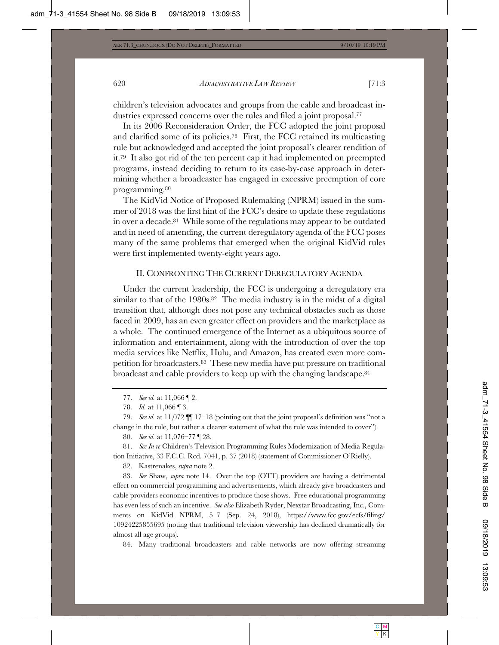children's television advocates and groups from the cable and broadcast industries expressed concerns over the rules and filed a joint proposal.<sup>77</sup>

In its 2006 Reconsideration Order, the FCC adopted the joint proposal and clarified some of its policies.78 First, the FCC retained its multicasting rule but acknowledged and accepted the joint proposal's clearer rendition of it.79 It also got rid of the ten percent cap it had implemented on preempted programs, instead deciding to return to its case-by-case approach in determining whether a broadcaster has engaged in excessive preemption of core programming.80

The KidVid Notice of Proposed Rulemaking (NPRM) issued in the summer of 2018 was the first hint of the FCC's desire to update these regulations in over a decade.81 While some of the regulations may appear to be outdated and in need of amending, the current deregulatory agenda of the FCC poses many of the same problems that emerged when the original KidVid rules were first implemented twenty-eight years ago.

#### II. CONFRONTING THE CURRENT DEREGULATORY AGENDA

Under the current leadership, the FCC is undergoing a deregulatory era similar to that of the 1980s.<sup>82</sup> The media industry is in the midst of a digital transition that, although does not pose any technical obstacles such as those faced in 2009, has an even greater effect on providers and the marketplace as a whole. The continued emergence of the Internet as a ubiquitous source of information and entertainment, along with the introduction of over the top media services like Netflix, Hulu, and Amazon, has created even more competition for broadcasters.83 These new media have put pressure on traditional broadcast and cable providers to keep up with the changing landscape.84

79. *See id.* at 11,072 ¶¶ 17–18 (pointing out that the joint proposal's definition was "not a change in the rule, but rather a clearer statement of what the rule was intended to cover").

80. *See id.* at 11,076–77 ¶ 28.

81. *See In re* Children's Television Programming Rules Modernization of Media Regulation Initiative, 33 F.C.C. Rcd. 7041, p. 37 (2018) (statement of Commissioner O'Rielly).

82. Kastrenakes, *supra* note 2.

83. *See* Shaw, *supra* note 14. Over the top (OTT) providers are having a detrimental effect on commercial programming and advertisements, which already give broadcasters and cable providers economic incentives to produce those shows. Free educational programming has even less of such an incentive. *See also* Elizabeth Ryder, Nexstar Broadcasting, Inc., Comments on KidVid NPRM, 5–7 (Sep. 24, 2018), https://www.fcc.gov/ecfs/filing/ 10924225855695 (noting that traditional television viewership has declined dramatically for almost all age groups).

84. Many traditional broadcasters and cable networks are now offering streaming

<sup>77.</sup> *See id.* at 11,066 ¶ 2.

<sup>78.</sup> *Id.* at 11,066 ¶ 3.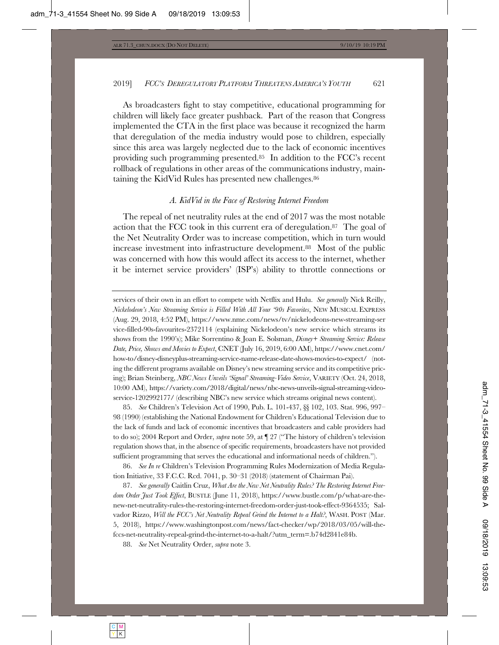As broadcasters fight to stay competitive, educational programming for children will likely face greater pushback. Part of the reason that Congress implemented the CTA in the first place was because it recognized the harm that deregulation of the media industry would pose to children, especially since this area was largely neglected due to the lack of economic incentives providing such programming presented.85 In addition to the FCC's recent rollback of regulations in other areas of the communications industry, maintaining the KidVid Rules has presented new challenges.86

#### *A. KidVid in the Face of Restoring Internet Freedom*

The repeal of net neutrality rules at the end of 2017 was the most notable action that the FCC took in this current era of deregulation.87 The goal of the Net Neutrality Order was to increase competition, which in turn would increase investment into infrastructure development.88 Most of the public was concerned with how this would affect its access to the internet, whether it be internet service providers' (ISP's) ability to throttle connections or

services of their own in an effort to compete with Netflix and Hulu. *See generally* Nick Reilly, *Nickelodeon's New Streaming Service is Filled With All Your '90s Favorites*, NEW MUSICAL EXPRESS (Aug. 29, 2018, 4:52 PM), https://www.nme.com/news/tv/nickelodeons-new-streaming-ser vice-filled-90s-favourites-2372114 (explaining Nickelodeon's new service which streams its shows from the 1990's); Mike Sorrentino & Joan E. Solsman, *Disney+ Streaming Service: Release Date, Price, Shows and Movies to Expect*, CNET (July 16, 2019, 6:00 AM), https://www.cnet.com/ how-to/disney-disneyplus-streaming-service-name-release-date-shows-movies-to-expect/ (noting the different programs available on Disney's new streaming service and its competitive pricing); Brian Steinberg, *NBC News Unveils 'Signal' Streaming-Video Service*, VARIETY (Oct. 24, 2018, 10:00 AM), https://variety.com/2018/digital/news/nbc-news-unveils-signal-streaming-videoservice-1202992177/ (describing NBC's new service which streams original news content).

85. *See* Children's Television Act of 1990, Pub. L. 101-437, §§ 102, 103. Stat. 996, 997– 98 (1990) (establishing the National Endowment for Children's Educational Television due to the lack of funds and lack of economic incentives that broadcasters and cable providers had to do so); 2004 Report and Order, *supra* note 59, at ¶ 27 ("The history of children's television regulation shows that, in the absence of specific requirements, broadcasters have not provided sufficient programming that serves the educational and informational needs of children.").

86. *See In re* Children's Television Programming Rules Modernization of Media Regulation Initiative, 33 F.C.C. Rcd. 7041, p. 30–31 (2018) (statement of Chairman Pai).

87. *See generally* Caitlin Cruz, *What Are the New Net Neutrality Rules? The Restoring Internet Freedom Order Just Took Effect*, BUSTLE (June 11, 2018), https://www.bustle.com/p/what-are-thenew-net-neutrality-rules-the-restoring-internet-freedom-order-just-took-effect-9364535; Salvador Rizzo, *Will the FCC's Net Neutrality Repeal Grind the Internet to a Halt?*, WASH. POST (Mar. 5, 2018), https://www.washingtonpost.com/news/fact-checker/wp/2018/03/05/will-thefccs-net-neutrality-repeal-grind-the-internet-to-a-halt/?utm\_term=.b74d2841e84b.

88. *See* Net Neutrality Order, *supra* note 3.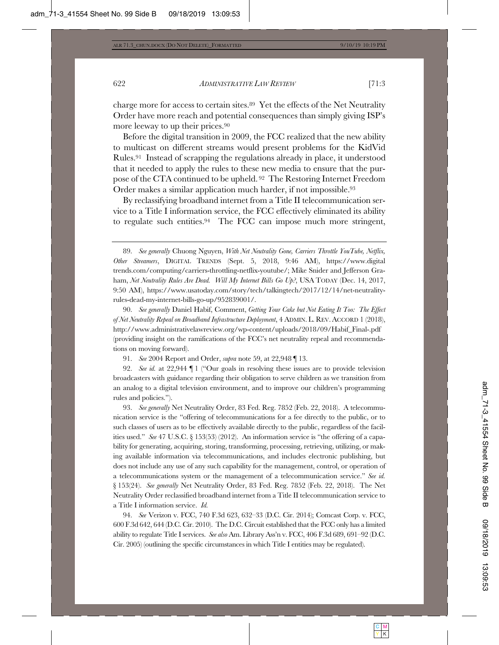charge more for access to certain sites.89 Yet the effects of the Net Neutrality Order have more reach and potential consequences than simply giving ISP's more leeway to up their prices.90

Before the digital transition in 2009, the FCC realized that the new ability to multicast on different streams would present problems for the KidVid Rules.91 Instead of scrapping the regulations already in place, it understood that it needed to apply the rules to these new media to ensure that the purpose of the CTA continued to be upheld. 92 The Restoring Internet Freedom Order makes a similar application much harder, if not impossible.<sup>93</sup>

By reclassifying broadband internet from a Title II telecommunication service to a Title I information service, the FCC effectively eliminated its ability to regulate such entities.94 The FCC can impose much more stringent,

90. *See generally* Daniel Habif, Comment, *Getting Your Cake but Not Eating It Too: The Effect of Net Neutrality Repeal on Broadband Infrastructure Deployment*, 4 ADMIN. L. REV. ACCORD 1 (2018), http://www.administrativelawreview.org/wp-content/uploads/2018/09/Habif\_Final-.pdf (providing insight on the ramifications of the FCC's net neutrality repeal and recommendations on moving forward).

91. *See* 2004 Report and Order, *supra* note 59, at 22,948 ¶ 13.

92. *See id.* at 22,944 ¶ 1 ("Our goals in resolving these issues are to provide television broadcasters with guidance regarding their obligation to serve children as we transition from an analog to a digital television environment, and to improve our children's programming rules and policies.").

93. *See generally* Net Neutrality Order, 83 Fed. Reg. 7852 (Feb. 22, 2018). A telecommunication service is the "offering of telecommunications for a fee directly to the public, or to such classes of users as to be effectively available directly to the public, regardless of the facilities used." *See* 47 U.S.C. § 153(53) (2012). An information service is "the offering of a capability for generating, acquiring, storing, transforming, processing, retrieving, utilizing, or making available information via telecommunications, and includes electronic publishing, but does not include any use of any such capability for the management, control, or operation of a telecommunications system or the management of a telecommunication service." *See id.*  § 153(24). *See generally* Net Neutrality Order, 83 Fed. Reg. 7852 (Feb. 22, 2018). The Net Neutrality Order reclassified broadband internet from a Title II telecommunication service to a Title I information service. *Id.*

94. *See* Verizon v. FCC, 740 F.3d 623, 632–33 (D.C. Cir. 2014); Comcast Corp. v. FCC, 600 F.3d 642, 644 (D.C. Cir. 2010). The D.C. Circuit established that the FCC only has a limited ability to regulate Title I services. *See also* Am. Library Ass'n v. FCC, 406 F.3d 689, 691–92 (D.C. Cir. 2005) (outlining the specific circumstances in which Title I entities may be regulated).

<sup>89.</sup> *See generally* Chuong Nguyen, *With Net Neutrality Gone, Carriers Throttle YouTube, Netflix, Other Streamers*, DIGITAL TRENDS (Sept. 5, 2018, 9:46 AM), https://www.digital trends.com/computing/carriers-throttling-netflix-youtube/; Mike Snider and Jefferson Graham, *Net Neutrality Rules Are Dead. Will My Internet Bills Go Up?*, USA TODAY (Dec. 14, 2017, 9:50 AM), https://www.usatoday.com/story/tech/talkingtech/2017/12/14/net-neutralityrules-dead-my-internet-bills-go-up/952839001/.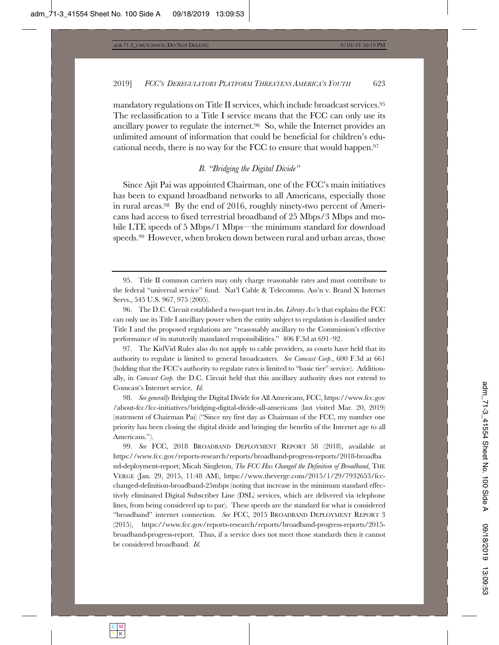mandatory regulations on Title II services, which include broadcast services.95 The reclassification to a Title I service means that the FCC can only use its ancillary power to regulate the internet.96 So, while the Internet provides an unlimited amount of information that could be beneficial for children's educational needs, there is no way for the FCC to ensure that would happen.97

## *B. "Bridging the Digital Divide"*

Since Ajit Pai was appointed Chairman, one of the FCC's main initiatives has been to expand broadband networks to all Americans, especially those in rural areas.98 By the end of 2016, roughly ninety-two percent of Americans had access to fixed terrestrial broadband of 25 Mbps/3 Mbps and mobile LTE speeds of 5 Mbps/1 Mbps—the minimum standard for download speeds.99 However, when broken down between rural and urban areas, those

97. The KidVid Rules also do not apply to cable providers, as courts have held that its authority to regulate is limited to general broadcasters. *See Comcast Corp.*, 600 F.3d at 661 (holding that the FCC's authority to regulate rates is limited to "basic tier" service). Additionally, in *Comcast Corp.* the D.C. Circuit held that this ancillary authority does not extend to Comcast's Internet service. *Id.*

98. *See generally* Bridging the Digital Divide for All Americans, FCC, https://www.fcc.gov /about-fcc/fcc-initiatives/bridging-digital-divide-all-americans (last visited Mar. 20, 2019) (statement of Chairman Pai) ("Since my first day as Chairman of the FCC, my number one priority has been closing the digital divide and bringing the benefits of the Internet age to all Americans.").

99. *See* FCC, 2018 BROADBAND DEPLOYMENT REPORT 58 (2018), available at https://www.fcc.gov/reports-research/reports/broadband-progress-reports/2018-broadba nd-deployment-report; Micah Singleton, *The FCC Has Changed the Definition of Broadband*, THE VERGE (Jan. 29, 2015, 11:48 AM), https://www.theverge.com/2015/1/29/7932653/fccchanged-definition-broadband-25mbps (noting that increase in the minimum standard effectively eliminated Digital Subscriber Line (DSL) services, which are delivered via telephone lines, from being considered up to par). These speeds are the standard for what is considered "broadband" internet connection. *See* FCC, 2015 BROADBAND DEPLOYMENT REPORT 3 (2015), https://www.fcc.gov/reports-research/reports/broadband-progress-reports/2015 broadband-progress-report. Thus, if a service does not meet those standards then it cannot be considered broadband. *Id.*

<sup>95.</sup> Title II common carriers may only charge reasonable rates and must contribute to the federal "universal service" fund. Nat'l Cable & Telecomms. Ass'n v. Brand X Internet Servs., 545 U.S. 967, 975 (2005).

<sup>96.</sup> The D.C. Circuit established a two-part test in *Am. Library Ass'n* that explains the FCC can only use its Title I ancillary power when the entity subject to regulation is classified under Title I and the proposed regulations are "reasonably ancillary to the Commission's effective performance of its statutorily mandated responsibilities." 406 F.3d at 691–92.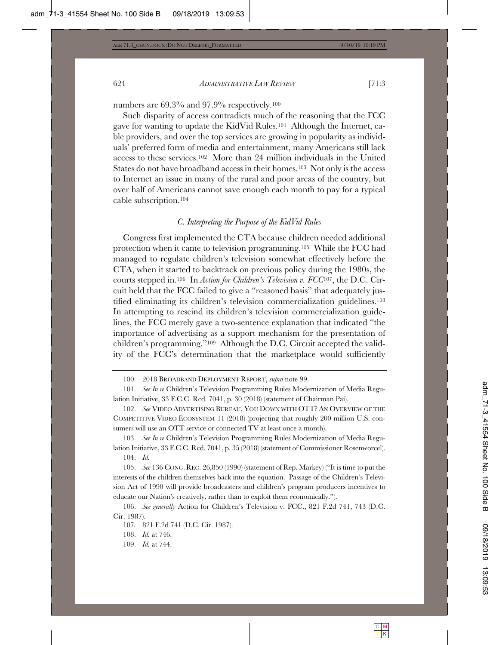numbers are 69.3% and 97.9% respectively.100

Such disparity of access contradicts much of the reasoning that the FCC gave for wanting to update the KidVid Rules.101 Although the Internet, cable providers, and over the top services are growing in popularity as individuals' preferred form of media and entertainment, many Americans still lack access to these services.102 More than 24 million individuals in the United States do not have broadband access in their homes.103 Not only is the access to Internet an issue in many of the rural and poor areas of the country, but over half of Americans cannot save enough each month to pay for a typical cable subscription.104

#### *C. Interpreting the Purpose of the KidVid Rules*

Congress first implemented the CTA because children needed additional protection when it came to television programming.105 While the FCC had managed to regulate children's television somewhat effectively before the CTA, when it started to backtrack on previous policy during the 1980s, the courts stepped in.106 In *Action for Children's Television v. FCC*107, the D.C. Circuit held that the FCC failed to give a "reasoned basis" that adequately justified eliminating its children's television commercialization guidelines.108 In attempting to rescind its children's television commercialization guidelines, the FCC merely gave a two-sentence explanation that indicated "the importance of advertising as a support mechanism for the presentation of children's programming."109 Although the D.C. Circuit accepted the validity of the FCC's determination that the marketplace would sufficiently

103. *See In re* Children's Television Programming Rules Modernization of Media Regulation Initiative, 33 F.C.C. Rcd. 7041, p. 35 (2018) (statement of Commissioner Rosenworcel). 104. *Id.*

105. *See* 136 CONG. REC. 26,850 (1990) (statement of Rep. Markey) ("It is time to put the interests of the children themselves back into the equation. Passage of the Children's Television Act of 1990 will provide broadcasters and children's program producers incentives to educate our Nation's creatively, rather than to exploit them economically.").

106. *See generally* Action for Children's Television v. FCC., 821 F.2d 741, 743 (D.C. Cir. 1987).

107*.* 821 F.2d 741 (D.C. Cir. 1987).

108. *Id.* at 746.

109. *Id.* at 744.

<sup>100. 2018</sup> BROADBAND DEPLOYMENT REPORT, *supra* note 99.

<sup>101.</sup> *See In re* Children's Television Programming Rules Modernization of Media Regulation Initiative, 33 F.C.C. Rcd. 7041, p. 30 (2018) (statement of Chairman Pai).

<sup>102.</sup> *See* VIDEO ADVERTISING BUREAU, YOU DOWN WITH OTT? AN OVERVIEW OF THE COMPETITIVE VIDEO ECOSYSTEM 11 (2018) (projecting that roughly 200 million U.S. consumers will use an OTT service or connected TV at least once a month).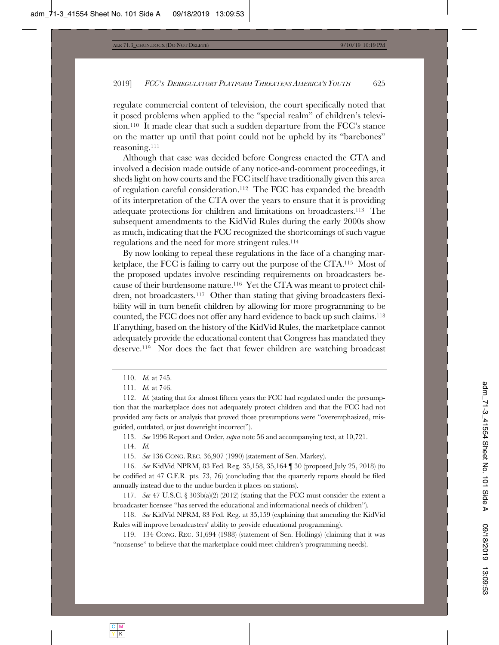regulate commercial content of television, the court specifically noted that it posed problems when applied to the "special realm" of children's television.110 It made clear that such a sudden departure from the FCC's stance on the matter up until that point could not be upheld by its "barebones" reasoning.111

Although that case was decided before Congress enacted the CTA and involved a decision made outside of any notice-and-comment proceedings, it sheds light on how courts and the FCC itself have traditionally given this area of regulation careful consideration.112 The FCC has expanded the breadth of its interpretation of the CTA over the years to ensure that it is providing adequate protections for children and limitations on broadcasters.113 The subsequent amendments to the KidVid Rules during the early 2000s show as much, indicating that the FCC recognized the shortcomings of such vague regulations and the need for more stringent rules.114

By now looking to repeal these regulations in the face of a changing marketplace, the FCC is failing to carry out the purpose of the CTA.115 Most of the proposed updates involve rescinding requirements on broadcasters because of their burdensome nature.116 Yet the CTA was meant to protect children, not broadcasters.117 Other than stating that giving broadcasters flexibility will in turn benefit children by allowing for more programming to be counted, the FCC does not offer any hard evidence to back up such claims.118 If anything, based on the history of the KidVid Rules, the marketplace cannot adequately provide the educational content that Congress has mandated they deserve.119 Nor does the fact that fewer children are watching broadcast

113. *See* 1996 Report and Order, *supra* note 56 and accompanying text, at 10,721.

114. *Id.*

115. *See* 136 CONG. REC. 36,907 (1990) (statement of Sen. Markey).

116. *See* KidVid NPRM, 83 Fed. Reg. 35,158, 35,164 ¶ 30 (proposed July 25, 2018) (to be codified at 47 C.F.R. pts. 73, 76) (concluding that the quarterly reports should be filed annually instead due to the undue burden it places on stations).

117. *See* 47 U.S.C. § 303b(a)(2) (2012) (stating that the FCC must consider the extent a broadcaster licensee "has served the educational and informational needs of children").

118. *See* KidVid NPRM, 83 Fed. Reg. at 35,159 (explaining that amending the KidVid Rules will improve broadcasters' ability to provide educational programming).

119. 134 CONG. REC. 31,694 (1988) (statement of Sen. Hollings) (claiming that it was "nonsense" to believe that the marketplace could meet children's programming needs).

<sup>110.</sup> *Id.* at 745.

<sup>111.</sup> *Id.* at 746.

<sup>112.</sup> *Id.* (stating that for almost fifteen years the FCC had regulated under the presumption that the marketplace does not adequately protect children and that the FCC had not provided any facts or analysis that proved those presumptions were "overemphasized, misguided, outdated, or just downright incorrect").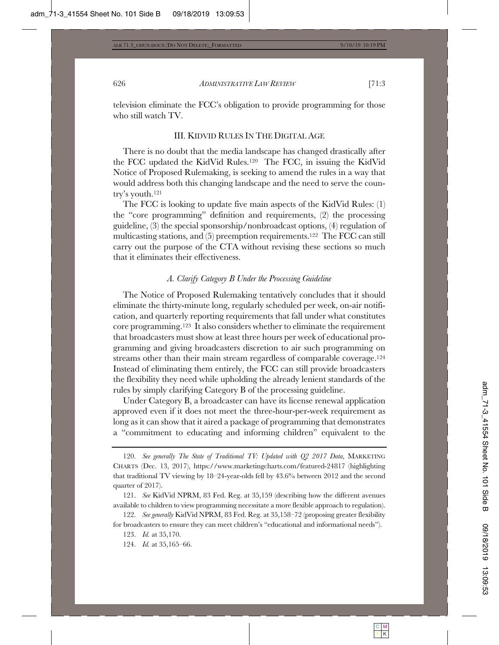television eliminate the FCC's obligation to provide programming for those who still watch TV.

#### III. KIDVID RULES IN THE DIGITAL AGE

There is no doubt that the media landscape has changed drastically after the FCC updated the KidVid Rules.120 The FCC, in issuing the KidVid Notice of Proposed Rulemaking, is seeking to amend the rules in a way that would address both this changing landscape and the need to serve the country's youth.121

The FCC is looking to update five main aspects of the KidVid Rules: (1) the "core programming" definition and requirements, (2) the processing guideline, (3) the special sponsorship/nonbroadcast options, (4) regulation of multicasting stations, and (5) preemption requirements.122 The FCC can still carry out the purpose of the CTA without revising these sections so much that it eliminates their effectiveness.

#### *A. Clarify Category B Under the Processing Guideline*

The Notice of Proposed Rulemaking tentatively concludes that it should eliminate the thirty-minute long, regularly scheduled per week, on-air notification, and quarterly reporting requirements that fall under what constitutes core programming.123 It also considers whether to eliminate the requirement that broadcasters must show at least three hours per week of educational programming and giving broadcasters discretion to air such programming on streams other than their main stream regardless of comparable coverage.124 Instead of eliminating them entirely, the FCC can still provide broadcasters the flexibility they need while upholding the already lenient standards of the rules by simply clarifying Category B of the processing guideline.

Under Category B, a broadcaster can have its license renewal application approved even if it does not meet the three-hour-per-week requirement as long as it can show that it aired a package of programming that demonstrates a "commitment to educating and informing children" equivalent to the

120. *See generally The State of Traditional TV: Updated with Q2 2017 Data*, MARKETING CHARTS (Dec. 13, 2017), https://www.marketingcharts.com/featured-24817 (highlighting that traditional TV viewing by 18–24-year-olds fell by 43.6% between 2012 and the second quarter of 2017).

121. *See* KidVid NPRM, 83 Fed. Reg. at 35,159 (describing how the different avenues available to children to view programming necessitate a more flexible approach to regulation).

122. *See generally* KidVid NPRM, 83 Fed. Reg. at 35,158–72 (proposing greater flexibility for broadcasters to ensure they can meet children's "educational and informational needs").

123. *Id.* at 35,170.

<sup>124.</sup> *Id.* at 35,165–66.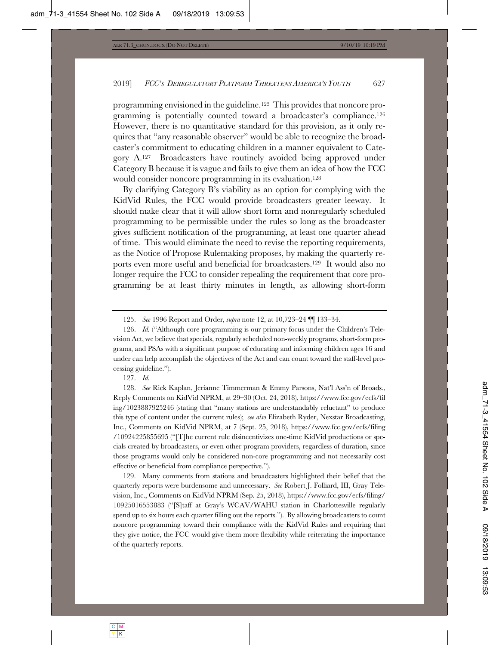programming envisioned in the guideline.125 This provides that noncore programming is potentially counted toward a broadcaster's compliance.126 However, there is no quantitative standard for this provision, as it only requires that "any reasonable observer" would be able to recognize the broadcaster's commitment to educating children in a manner equivalent to Category A.127 Broadcasters have routinely avoided being approved under Category B because it is vague and fails to give them an idea of how the FCC would consider noncore programming in its evaluation.128

By clarifying Category B's viability as an option for complying with the KidVid Rules, the FCC would provide broadcasters greater leeway. It should make clear that it will allow short form and nonregularly scheduled programming to be permissible under the rules so long as the broadcaster gives sufficient notification of the programming, at least one quarter ahead of time. This would eliminate the need to revise the reporting requirements, as the Notice of Propose Rulemaking proposes, by making the quarterly reports even more useful and beneficial for broadcasters.129 It would also no longer require the FCC to consider repealing the requirement that core programming be at least thirty minutes in length, as allowing short-form

127. *Id.*

128. *See* Rick Kaplan, Jerianne Timmerman & Emmy Parsons, Nat'l Ass'n of Broads., Reply Comments on KidVid NPRM, at 29–30 (Oct. 24, 2018), https://www.fcc.gov/ecfs/fil ing/1023887925246 (stating that "many stations are understandably reluctant" to produce this type of content under the current rules); *see also* Elizabeth Ryder, Nexstar Broadcasting, Inc., Comments on KidVid NPRM, at 7 (Sept. 25, 2018), https://www.fcc.gov/ecfs/filing /10924225855695 ("[T]he current rule disincentivizes one-time KidVid productions or specials created by broadcasters, or even other program providers, regardless of duration, since those programs would only be considered non-core programming and not necessarily cost effective or beneficial from compliance perspective.").

129. Many comments from stations and broadcasters highlighted their belief that the quarterly reports were burdensome and unnecessary. *See* Robert J. Folliard, III, Gray Television, Inc., Comments on KidVid NPRM (Sep. 25, 2018), https://www.fcc.gov/ecfs/filing/ 10925016553883 ("[S]taff at Gray's WCAV/WAHU station in Charlottesville regularly spend up to six hours each quarter filling out the reports."). By allowing broadcasters to count noncore programming toward their compliance with the KidVid Rules and requiring that they give notice, the FCC would give them more flexibility while reiterating the importance of the quarterly reports.

<sup>125.</sup> *See* 1996 Report and Order, *supra* note 12, at 10,723–24 ¶¶ 133–34.

<sup>126.</sup> *Id.* ("Although core programming is our primary focus under the Children's Television Act, we believe that specials, regularly scheduled non-weekly programs, short-form programs, and PSAs with a significant purpose of educating and informing children ages 16 and under can help accomplish the objectives of the Act and can count toward the staff-level processing guideline.").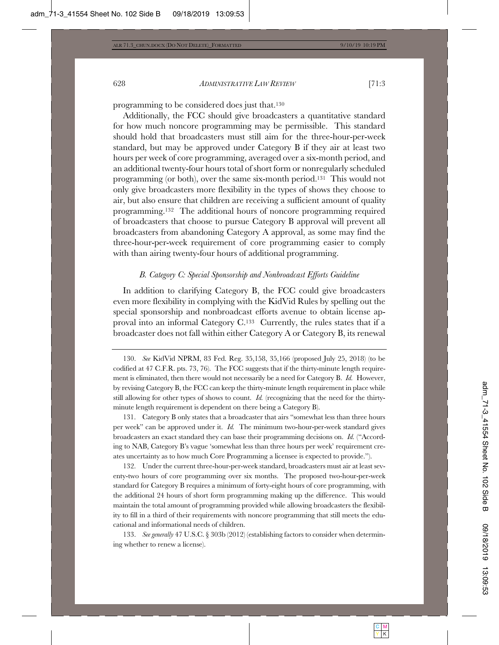programming to be considered does just that.130

Additionally, the FCC should give broadcasters a quantitative standard for how much noncore programming may be permissible. This standard should hold that broadcasters must still aim for the three-hour-per-week standard, but may be approved under Category B if they air at least two hours per week of core programming, averaged over a six-month period, and an additional twenty-four hours total of short form or nonregularly scheduled programming (or both), over the same six-month period.131 This would not only give broadcasters more flexibility in the types of shows they choose to air, but also ensure that children are receiving a sufficient amount of quality programming.132 The additional hours of noncore programming required of broadcasters that choose to pursue Category B approval will prevent all broadcasters from abandoning Category A approval, as some may find the three-hour-per-week requirement of core programming easier to comply with than airing twenty-four hours of additional programming.

#### *B. Category C: Special Sponsorship and Nonbroadcast Efforts Guideline*

In addition to clarifying Category B, the FCC could give broadcasters even more flexibility in complying with the KidVid Rules by spelling out the special sponsorship and nonbroadcast efforts avenue to obtain license approval into an informal Category C.133 Currently, the rules states that if a broadcaster does not fall within either Category A or Category B, its renewal

131. Category B only states that a broadcaster that airs "somewhat less than three hours per week" can be approved under it. *Id.* The minimum two-hour-per-week standard gives broadcasters an exact standard they can base their programming decisions on. *Id.* ("According to NAB, Category B's vague 'somewhat less than three hours per week' requirement creates uncertainty as to how much Core Programming a licensee is expected to provide.").

132. Under the current three-hour-per-week standard, broadcasters must air at least seventy-two hours of core programming over six months. The proposed two-hour-per-week standard for Category B requires a minimum of forty-eight hours of core programming, with the additional 24 hours of short form programming making up the difference. This would maintain the total amount of programming provided while allowing broadcasters the flexibility to fill in a third of their requirements with noncore programming that still meets the educational and informational needs of children.

133. *See generally* 47 U.S.C. § 303b (2012) (establishing factors to consider when determining whether to renew a license).

<sup>130.</sup> *See* KidVid NPRM, 83 Fed. Reg. 35,158, 35,166 (proposed July 25, 2018) (to be codified at 47 C.F.R. pts. 73, 76). The FCC suggests that if the thirty-minute length requirement is eliminated, then there would not necessarily be a need for Category B. *Id.* However, by revising Category B, the FCC can keep the thirty-minute length requirement in place while still allowing for other types of shows to count. *Id.* (recognizing that the need for the thirtyminute length requirement is dependent on there being a Category B).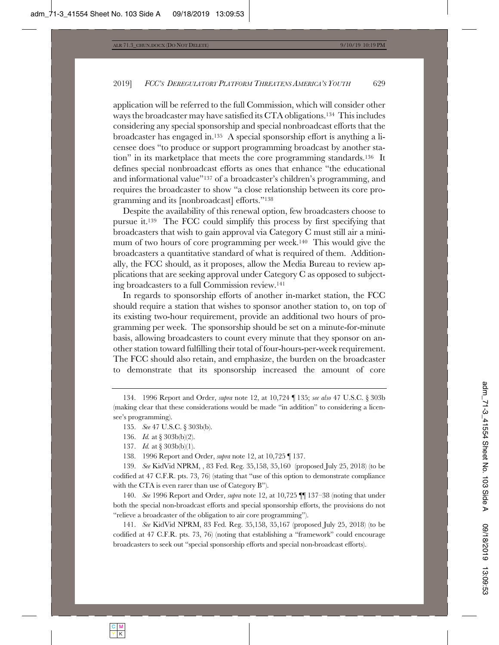application will be referred to the full Commission, which will consider other ways the broadcaster may have satisfied its CTA obligations.134 This includes considering any special sponsorship and special nonbroadcast efforts that the broadcaster has engaged in.135 A special sponsorship effort is anything a licensee does "to produce or support programming broadcast by another station" in its marketplace that meets the core programming standards.136 It defines special nonbroadcast efforts as ones that enhance "the educational and informational value"137 of a broadcaster's children's programming, and requires the broadcaster to show "a close relationship between its core programming and its [nonbroadcast] efforts."138

Despite the availability of this renewal option, few broadcasters choose to pursue it.139 The FCC could simplify this process by first specifying that broadcasters that wish to gain approval via Category C must still air a minimum of two hours of core programming per week.140 This would give the broadcasters a quantitative standard of what is required of them. Additionally, the FCC should, as it proposes, allow the Media Bureau to review applications that are seeking approval under Category C as opposed to subjecting broadcasters to a full Commission review.141

In regards to sponsorship efforts of another in-market station, the FCC should require a station that wishes to sponsor another station to, on top of its existing two-hour requirement, provide an additional two hours of programming per week. The sponsorship should be set on a minute-for-minute basis, allowing broadcasters to count every minute that they sponsor on another station toward fulfilling their total of four-hours-per-week requirement. The FCC should also retain, and emphasize, the burden on the broadcaster to demonstrate that its sponsorship increased the amount of core

- 137. *Id.* at § 303b(b)(1).
- 138. 1996 Report and Order, *supra* note 12, at 10,725 ¶ 137.

139. *See* KidVid NPRM, , 83 Fed. Reg. 35,158, 35,160 (proposed July 25, 2018) (to be codified at 47 C.F.R. pts. 73, 76) (stating that "use of this option to demonstrate compliance with the CTA is even rarer than use of Category B").

140. *See* 1996 Report and Order, *supra* note 12, at 10,725 ¶¶ 137–38 (noting that under both the special non-broadcast efforts and special sponsorship efforts, the provisions do not "relieve a broadcaster of the obligation to air core programming").

141. *See* KidVid NPRM, 83 Fed. Reg. 35,158, 35,167 (proposed July 25, 2018) (to be codified at 47 C.F.R. pts. 73, 76) (noting that establishing a "framework" could encourage broadcasters to seek out "special sponsorship efforts and special non-broadcast efforts).

<sup>134. 1996</sup> Report and Order, *supra* note 12, at 10,724 ¶ 135; *see also* 47 U.S.C. § 303b (making clear that these considerations would be made "in addition" to considering a licensee's programming).

<sup>135.</sup> *See* 47 U.S.C. § 303b(b).

<sup>136.</sup> *Id.* at § 303b(b)(2).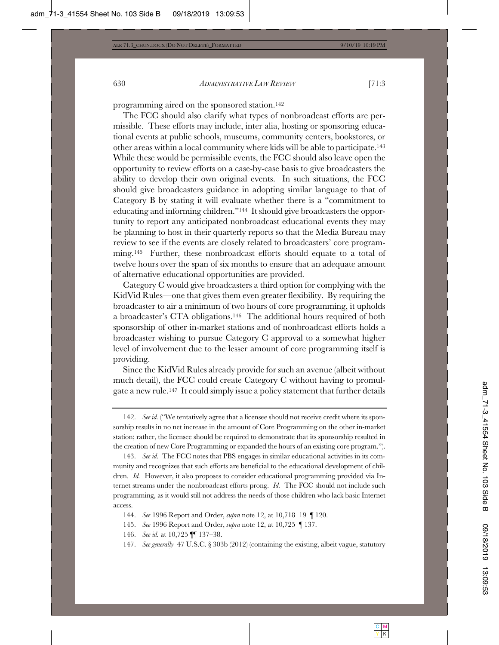programming aired on the sponsored station.142

The FCC should also clarify what types of nonbroadcast efforts are permissible. These efforts may include, inter alia, hosting or sponsoring educational events at public schools, museums, community centers, bookstores, or other areas within a local community where kids will be able to participate.143 While these would be permissible events, the FCC should also leave open the opportunity to review efforts on a case-by-case basis to give broadcasters the ability to develop their own original events. In such situations, the FCC should give broadcasters guidance in adopting similar language to that of Category B by stating it will evaluate whether there is a "commitment to educating and informing children."144 It should give broadcasters the opportunity to report any anticipated nonbroadcast educational events they may be planning to host in their quarterly reports so that the Media Bureau may review to see if the events are closely related to broadcasters' core programming.<sup>145</sup> Further, these nonbroadcast efforts should equate to a total of twelve hours over the span of six months to ensure that an adequate amount of alternative educational opportunities are provided.

Category C would give broadcasters a third option for complying with the KidVid Rules—one that gives them even greater flexibility. By requiring the broadcaster to air a minimum of two hours of core programming, it upholds a broadcaster's CTA obligations.146 The additional hours required of both sponsorship of other in-market stations and of nonbroadcast efforts holds a broadcaster wishing to pursue Category C approval to a somewhat higher level of involvement due to the lesser amount of core programming itself is providing.

Since the KidVid Rules already provide for such an avenue (albeit without much detail), the FCC could create Category C without having to promulgate a new rule.147 It could simply issue a policy statement that further details

<sup>142.</sup> *See id.* ("We tentatively agree that a licensee should not receive credit where its sponsorship results in no net increase in the amount of Core Programming on the other in-market station; rather, the licensee should be required to demonstrate that its sponsorship resulted in the creation of new Core Programming or expanded the hours of an existing core program.").

<sup>143.</sup> *See id.* The FCC notes that PBS engages in similar educational activities in its community and recognizes that such efforts are beneficial to the educational development of children. *Id.* However, it also proposes to consider educational programming provided via Internet streams under the nonbroadcast efforts prong. *Id.* The FCC should not include such programming, as it would still not address the needs of those children who lack basic Internet access.

<sup>144.</sup> *See* 1996 Report and Order, *supra* note 12, at 10,718–19 ¶ 120.

<sup>145.</sup> *See* 1996 Report and Order, *supra* note 12, at 10,725 ¶ 137.

<sup>146.</sup> *See id.* at 10,725 ¶¶ 137–38.

<sup>147.</sup> *See generally* 47 U.S.C. § 303b (2012) (containing the existing, albeit vague, statutory